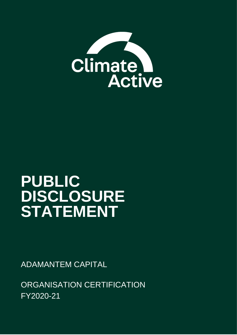

# **PUBLIC DISCLOSURE STATEMENT**

ADAMANTEM CAPITAL

ORGANISATION CERTIFICATION FY2020-21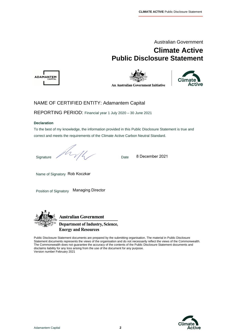

## **Climate Active Public Disclosure Statement**







#### NAME OF CERTIFIED ENTITY: Adamantem Capital

REPORTING PERIOD: Financial year 1 July 2020 – 30 June 2021

#### **Declaration**

To the best of my knowledge, the information provided in this Public Disclosure Statement is true and correct and meets the requirements of the Climate Active Carbon Neutral Standard.

Signature  $D$  Date

8 December 2021

Name of Signatory Rob Koczkar

Position of Signatory Managing Director



**Australian Government Department of Industry, Science, Energy and Resources** 

Public Disclosure Statement documents are prepared by the submitting organisation. The material in Public Disclosure Statement documents represents the views of the organisation and do not necessarily reflect the views of the Commonwealth. The Commonwealth does not guarantee the accuracy of the contents of the Public Disclosure Statement documents and disclaims liability for any loss arising from the use of the document for any purpose. Version number February 2021

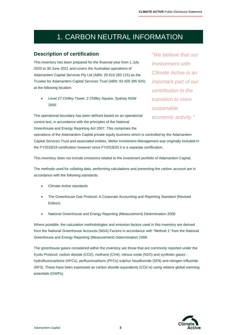# 1. CARBON NEUTRAL INFORMATION

#### **Description of certification**

This inventory has been prepared for the financial year from 1 July 2020 to 30 June 2021 and covers the Australian operations of Adamantem Capital Services Pty Ltd (ABN: 29 616 283 115) as the Trustee for Adamantem Capital Services Trust (ABN: 93 429 395 925) at the following location:

• Level 27 Chifley Tower, 2 Chifley Square, Sydney NSW 2000

The operational boundary has been defined based on an operational control test, in accordance with the principles of the National Greenhouse and Energy Reporting Act 2007. This comprises the

*"We believe that our involvement with Climate Active is an important part of our contribution to the transition to more sustainable economic activity."*

operations of the Adamantem Capital private equity business which is controlled by the Adamantem Capital Services Trust and associated entities. Melior Investment Management was originally included in the FY2018/19 certification however since FY2019/20 it is a separate certification.

This inventory does not include emissions related to the investment portfolio of Adamantem Capital.

The methods used for collating data, performing calculations and presenting the carbon account are in accordance with the following standards:

- Climate Active standards
- The Greenhouse Gas Protocol: A Corporate Accounting and Reporting Standard (Revised Edition)
- National Greenhouse and Energy Reporting (Measurement) Determination 2008

Where possible, the calculation methodologies and emission factors used in this inventory are derived from the National Greenhouse Accounts (NGA) Factors in accordance with "Method 1" from the National Greenhouse and Energy Reporting (Measurement) Determination 2008.

The greenhouse gases considered within the inventory are those that are commonly reported under the Kyoto Protocol; carbon dioxide (CO2), methane (CH4), nitrous oxide (N2O) and synthetic gases hydrofluorocarbons (HFCs), perfluorocarbons (PFCs) sulphur hexafluoride (SF6) and nitrogen trifluoride (NF3). These have been expressed as carbon dioxide equivalents (CO2-e) using relative global warming potentials (GWPs).

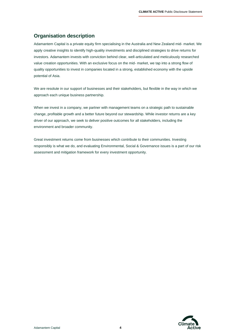### **Organisation description**

Adamantem Capital is a private equity firm specialising in the Australia and New Zealand mid- market. We apply creative insights to identify high-quality investments and disciplined strategies to drive returns for investors. Adamantem invests with conviction behind clear, well-articulated and meticulously researched value creation opportunities. With an exclusive focus on the mid- market, we tap into a strong flow of quality opportunities to invest in companies located in a strong, established economy with the upside potential of Asia.

We are resolute in our support of businesses and their stakeholders, but flexible in the way in which we approach each unique business partnership.

When we invest in a company, we partner with management teams on a strategic path to sustainable change, profitable growth and a better future beyond our stewardship. While investor returns are a key driver of our approach, we seek to deliver positive outcomes for all stakeholders, including the environment and broader community.

Great investment returns come from businesses which contribute to their communities. Investing responsibly is what we do, and evaluating Environmental, Social & Governance issues is a part of our risk assessment and mitigation framework for every investment opportunity.

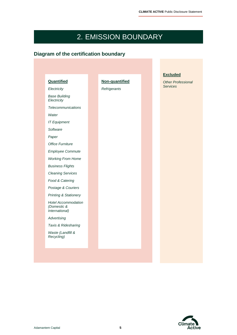# 2. EMISSION BOUNDARY

### **Diagram of the certification boundary**

| Quantified                                                         | Non-quantified |  | <b>Other Professional</b> |
|--------------------------------------------------------------------|----------------|--|---------------------------|
| Electricity                                                        | Refrigerants   |  | <b>Services</b>           |
| <b>Base Building</b><br>Electricity                                |                |  |                           |
| Telecommunications                                                 |                |  |                           |
| Water                                                              |                |  |                           |
| <b>IT Equipment</b>                                                |                |  |                           |
| Software                                                           |                |  |                           |
| Paper                                                              |                |  |                           |
| <b>Office Furniture</b>                                            |                |  |                           |
| Employee Commute                                                   |                |  |                           |
| <b>Working From Home</b>                                           |                |  |                           |
| <b>Business Flights</b>                                            |                |  |                           |
| <b>Cleaning Services</b>                                           |                |  |                           |
| Food & Catering                                                    |                |  |                           |
| Postage & Couriers                                                 |                |  |                           |
| <b>Printing &amp; Stationery</b>                                   |                |  |                           |
| <b>Hotel Accommodation</b><br>(Domestic &<br><i>International)</i> |                |  |                           |
| Advertising                                                        |                |  |                           |
| Taxis & Ridesharing                                                |                |  |                           |
| Waste (Landfill &<br>Recycling)                                    |                |  |                           |

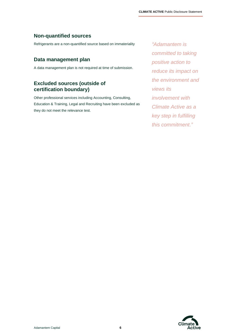### **Non-quantified sources**

Refrigerants are a non-quantified source based on immateriality

#### **Data management plan**

A data management plan is not required at time of submission.

### **Excluded sources (outside of certification boundary)**

Other professional services including Accounting, Consulting, Education & Training, Legal and Recruiting have been excluded as they do not meet the relevance test.

*"Adamantem is committed to taking positive action to reduce its impact on the environment and views its involvement with Climate Active as a key step in fulfilling this commitment."*

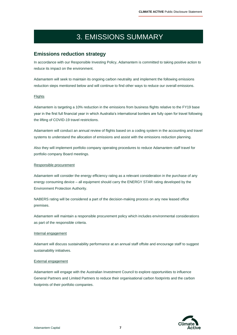# 3. EMISSIONS SUMMARY

#### **Emissions reduction strategy**

In accordance with our Responsible Investing Policy, Adamantem is committed to taking positive action to reduce its impact on the environment.

Adamantem will seek to maintain its ongoing carbon neutrality and implement the following emissions reduction steps mentioned below and will continue to find other ways to reduce our overall emissions.

#### **Flights**

Adamantem is targeting a 10% reduction in the emissions from business flights relative to the FY19 base year in the first full financial year in which Australia's international borders are fully open for travel following the lifting of COVID-19 travel restrictions.

Adamantem will conduct an annual review of flights based on a coding system in the accounting and travel systems to understand the allocation of emissions and assist with the emissions reduction planning.

Also they will implement portfolio company operating procedures to reduce Adamantem staff travel for portfolio company Board meetings.

#### Responsible procurement

Adamantem will consider the energy efficiency rating as a relevant consideration in the purchase of any energy consuming device – all equipment should carry the ENERGY STAR rating developed by the Environment Protection Authority.

NABERS rating will be considered a part of the decision-making process on any new leased office premises.

Adamantem will maintain a responsible procurement policy which includes environmental considerations as part of the responsible criteria.

#### Internal engagement

Adamant will discuss sustainability performance at an annual staff offsite and encourage staff to suggest sustainability initiatives.

#### External engagement

Adamantem will engage with the Australian Investment Council to explore opportunities to influence General Partners and Limited Partners to reduce their organisational carbon footprints and the carbon footprints of their portfolio companies.

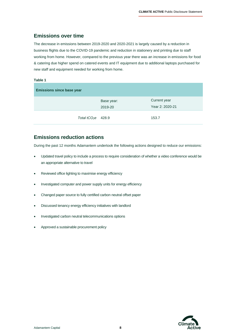#### **Emissions over time**

The decrease in emissions between 2019-2020 and 2020-2021 is largely caused by a reduction in business flights due to the COVID-19 pandemic and reduction in stationery and printing due to staff working from home. However, compared to the previous year there was an increase in emissions for food & catering due higher spend on catered events and IT equipment due to additional laptops purchased for new staff and equipment needed for working from home.

#### **Table 1**

| <b>Emissions since base year</b> |                       |                                 |  |  |  |  |
|----------------------------------|-----------------------|---------------------------------|--|--|--|--|
|                                  | Base year:<br>2019-20 | Current year<br>Year 2: 2020-21 |  |  |  |  |
| Total $tCO2e$ 428.9              |                       | 153.7                           |  |  |  |  |

### **Emissions reduction actions**

During the past 12 months Adamantem undertook the following actions designed to reduce our emissions:

- Updated travel policy to include a process to require consideration of whether a video conference would be an appropriate alternative to travel
- Reviewed office lighting to maximise energy efficiency
- Investigated computer and power supply units for energy efficiency
- Changed paper source to fully certified carbon neutral offset paper
- Discussed tenancy energy efficiency initiatives with landlord
- Investigated carbon neutral telecommunications options
- Approved a sustainable procurement policy

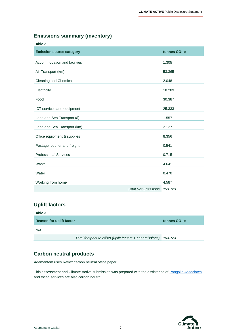### **Emissions summary (inventory)**

| <b>Table 2</b>                  |                            |                           |
|---------------------------------|----------------------------|---------------------------|
| <b>Emission source category</b> |                            | tonnes CO <sub>2</sub> -e |
| Accommodation and facilities    |                            | 1.305                     |
| Air Transport (km)              |                            | 53.365                    |
| <b>Cleaning and Chemicals</b>   |                            | 2.048                     |
| Electricity                     |                            | 18.289                    |
| Food                            |                            | 30.387                    |
| ICT services and equipment      |                            | 25.333                    |
| Land and Sea Transport (\$)     |                            | 1.557                     |
| Land and Sea Transport (km)     |                            | 2.127                     |
| Office equipment & supplies     |                            | 8.356                     |
| Postage, courier and freight    |                            | 0.541                     |
| <b>Professional Services</b>    |                            | 0.715                     |
| Waste                           |                            | 4.641                     |
| Water                           |                            | 0.470                     |
| Working from home               |                            | 4.587                     |
|                                 | <b>Total Net Emissions</b> | 153,723                   |

### **Uplift factors**

| Table 3                         |                                                                    |                 |
|---------------------------------|--------------------------------------------------------------------|-----------------|
| <b>Reason for uplift factor</b> |                                                                    | tonnes $CO2$ -e |
| N/A                             |                                                                    |                 |
|                                 | Total footprint to offset (uplift factors + net emissions) 153.723 |                 |

# **Carbon neutral products**

Adamantem uses Reflex carbon neutral office paper.

This assessment and Climate Active submission was prepared with the assistance o[f Pangolin Associates](https://pangolinassociates.com/) and these services are also carbon neutral.

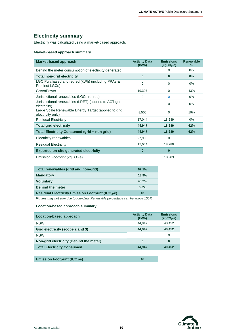### **Electricity summary**

Electricity was calculated using a market-based approach.

#### **Market-based approach summary**

| Market-based approach                                                     | <b>Activity Data</b><br>(kWh) | <b>Emissions</b><br>$(kgCO2-e)$ | <b>Renewable</b><br>$\frac{9}{6}$ |
|---------------------------------------------------------------------------|-------------------------------|---------------------------------|-----------------------------------|
| Behind the meter consumption of electricity generated                     | 0                             | 0                               | $0\%$                             |
| <b>Total non-grid electricity</b>                                         | $\bf{0}$                      | $\bf{0}$                        | $0\%$                             |
| LGC Purchased and retired (kWh) (including PPAs &<br>Precinct LGCs)       | $\Omega$                      | 0                               | $0\%$                             |
| GreenPower                                                                | 19,397                        | 0                               | 43%                               |
| Jurisdictional renewables (LGCs retired)                                  | $\Omega$                      | 0                               | $0\%$                             |
| Jurisdictional renewables (LRET) (applied to ACT grid<br>electricity)     | $\Omega$                      | 0                               | $0\%$                             |
| Large Scale Renewable Energy Target (applied to grid<br>electricity only) | 8,506                         | $\Omega$                        | 19%                               |
| <b>Residual Electricity</b>                                               | 17,044                        | 18,289                          | $0\%$                             |
| <b>Total grid electricity</b>                                             | 44,947                        | 18,289                          | 62%                               |
| Total Electricity Consumed (grid + non grid)                              | 44,947                        | 18,289                          | 62%                               |
| Electricity renewables                                                    | 27,903                        | 0                               |                                   |
| <b>Residual Electricity</b>                                               | 17,044                        | 18,289                          |                                   |
| <b>Exported on-site generated electricity</b>                             | $\bf{0}$                      | 0                               |                                   |
| Emission Footprint ( $kgCO2$ -e)                                          |                               | 18,289                          |                                   |

| Total renewables (grid and non-grid)                                        | 62.1%   |
|-----------------------------------------------------------------------------|---------|
| <b>Mandatory</b>                                                            | 18.9%   |
| <b>Voluntary</b>                                                            | 43.2%   |
| <b>Behind the meter</b>                                                     | $0.0\%$ |
| <b>Residual Electricity Emission Footprint (tCO2-e)</b>                     | 18      |
| Figures may not sum due to rounding. Renewable percentage can be above 100% |         |

#### **Location-based approach summary**

| Location-based approach                 | <b>Activity Data</b><br>(kWh) | <b>Emissions</b><br>$(kqCO2-e)$ |
|-----------------------------------------|-------------------------------|---------------------------------|
| <b>NSW</b>                              | 44.947                        | 40.452                          |
| Grid electricity (scope 2 and 3)        | 44.947                        | 40,452                          |
| <b>NSW</b>                              | 0                             | 0                               |
| Non-grid electricity (Behind the meter) | 0                             | 0                               |
| <b>Total Electricity Consumed</b>       | 44.947                        | 40,452                          |
|                                         |                               |                                 |

**Emission Footprint (tCO2-e) 40**

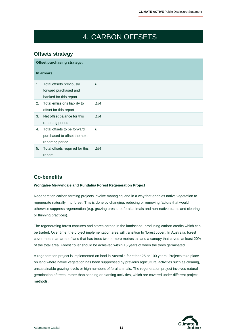# 4. CARBON OFFSETS

### **Offsets strategy**

|    | <b>Offset purchasing strategy:</b>                                              |          |  |  |  |  |
|----|---------------------------------------------------------------------------------|----------|--|--|--|--|
|    | In arrears                                                                      |          |  |  |  |  |
| 1. | Total offsets previously<br>forward purchased and<br>banked for this report     | $\theta$ |  |  |  |  |
| 2. | Total emissions liability to<br>offset for this report                          | 154      |  |  |  |  |
| 3. | Net offset balance for this<br>reporting period                                 | 154      |  |  |  |  |
| 4. | Total offsets to be forward<br>purchased to offset the next<br>reporting period | $\theta$ |  |  |  |  |
| 5. | Total offsets required for this<br>report                                       | 154      |  |  |  |  |

### **Co-benefits**

#### **Wongalee Mervyndale and Rundalua Forest Regeneration Project**

Regeneration carbon farming projects involve managing land in a way that enables native vegetation to regenerate naturally into forest. This is done by changing, reducing or removing factors that would otherwise suppress regeneration (e.g. grazing pressure, feral animals and non-native plants and clearing or thinning practices).

The regenerating forest captures and stores carbon in the landscape, producing carbon credits which can be traded. Over time, the project implementation area will transition to 'forest cover'. In Australia, forest cover means an area of land that has trees two or more metres tall and a canopy that covers at least 20% of the total area. Forest cover should be achieved within 15 years of when the trees germinated.

A regeneration project is implemented on land in Australia for either 25 or 100 years. Projects take place on land where native vegetation has been suppressed by previous agricultural activities such as clearing, unsustainable grazing levels or high numbers of feral animals. The regeneration project involves natural germination of trees, rather than seeding or planting activities, which are covered under different project methods.

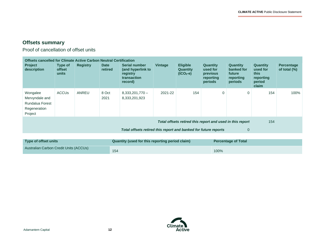$\overline{\phantom{a}}$ 

### **Offsets summary**

Proof of cancellation of offset units

| Offsets cancelled for Climate Active Carbon Neutral Certification                                                                                  |                                                                               |                 |                        |                                                                                        |         |                                                  |                                                                        |                                                                 |                                                                     |                                      |
|----------------------------------------------------------------------------------------------------------------------------------------------------|-------------------------------------------------------------------------------|-----------------|------------------------|----------------------------------------------------------------------------------------|---------|--------------------------------------------------|------------------------------------------------------------------------|-----------------------------------------------------------------|---------------------------------------------------------------------|--------------------------------------|
| <b>Project</b><br>description                                                                                                                      | Type of<br><b>offset</b><br>units                                             | <b>Registry</b> | <b>Date</b><br>retired | <b>Serial number</b><br>(and hyperlink to<br>registry<br><b>transaction</b><br>record) | Vintage | <b>Eligible</b><br><b>Quantity</b><br>$(tCO2-e)$ | <b>Quantity</b><br>used for<br><b>previous</b><br>reporting<br>periods | <b>Quantity</b><br>banked for<br>future<br>reporting<br>periods | <b>Quantity</b><br>used for<br>this<br>reporting<br>period<br>claim | <b>Percentage</b><br>of total $(\%)$ |
| Wongalee<br>Mervyndale and<br>Rundalua Forest<br>Regeneration<br>Project                                                                           | <b>ACCU<sub>s</sub></b>                                                       | ANREU           | 8 Oct<br>2021          | $8,333,201,770 -$<br>8,333,201,923                                                     | 2021-22 | 154                                              | $\mathbf 0$                                                            | $\mathbf 0$                                                     | 154                                                                 | 100%                                 |
| Total offsets retired this report and used in this report<br>154<br>Total offsets retired this report and banked for future reports<br>$\mathbf 0$ |                                                                               |                 |                        |                                                                                        |         |                                                  |                                                                        |                                                                 |                                                                     |                                      |
| Tyne of offset units                                                                                                                               | Quantity (used for this reporting period claim)<br><b>Percentage of Total</b> |                 |                        |                                                                                        |         |                                                  |                                                                        |                                                                 |                                                                     |                                      |

| Type of offset units                          | Quantity (used for this reporting period claim) | <b>Percentage of Total</b> |
|-----------------------------------------------|-------------------------------------------------|----------------------------|
| <b>Australian Carbon Credit Units (ACCUs)</b> | 154                                             | 100%                       |

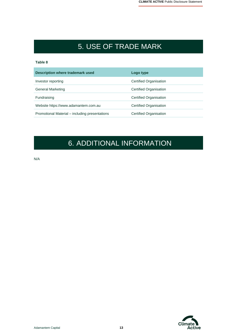# 5. USE OF TRADE MARK

#### **Table 8**

| Description where trademark used               | Logo type              |
|------------------------------------------------|------------------------|
| Investor reporting                             | Certified Organisation |
| <b>General Marketing</b>                       | Certified Organisation |
| Fundraising                                    | Certified Organisation |
| Website https://www.adamantem.com.au           | Certified Organisation |
| Promotional Material – including presentations | Certified Organisation |

# 6. ADDITIONAL INFORMATION

N/A

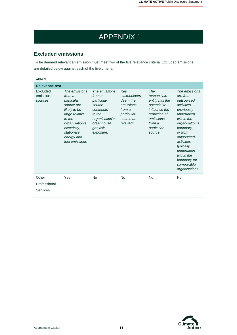# APPENDIX 1

### **Excluded emissions**

To be deemed relevant an emission must meet two of the five relevance criteria. Excluded emissions are detailed below against each of the five criteria.

| Table 9                                  |                                                                                                                                                                                 |                                                                                                                                  |                                                                                                 |                                                                                                                                       |                                                                                                                                                                                                                                                                |
|------------------------------------------|---------------------------------------------------------------------------------------------------------------------------------------------------------------------------------|----------------------------------------------------------------------------------------------------------------------------------|-------------------------------------------------------------------------------------------------|---------------------------------------------------------------------------------------------------------------------------------------|----------------------------------------------------------------------------------------------------------------------------------------------------------------------------------------------------------------------------------------------------------------|
| <b>Relevance test</b>                    |                                                                                                                                                                                 |                                                                                                                                  |                                                                                                 |                                                                                                                                       |                                                                                                                                                                                                                                                                |
| Excluded<br>emission<br>sources          | The emissions<br>from a<br>particular<br>source are<br>likely to be<br>large relative<br>to the<br>organisation's<br>electricity,<br>stationary<br>energy and<br>fuel emissions | The emissions<br>from a<br>particular<br>source<br>contribute<br>to the<br>organisation's<br>greenhouse<br>gas risk<br>exposure. | Key<br>stakeholders<br>deem the<br>emissions<br>from a<br>particular<br>source are<br>relevant. | The<br>responsible<br>entity has the<br>potential to<br>influence the<br>reduction of<br>emissions<br>from a<br>particular<br>source. | The emissions<br>are from<br>outsourced<br>activities<br>previously<br>undertaken<br>within the<br>organisation's<br>boundary,<br>or from<br>outsourced<br>activities<br>typically<br>undertaken<br>within the<br>boundary for<br>comparable<br>organisations. |
| Other<br>Professional<br><b>Services</b> | Yes                                                                                                                                                                             | <b>No</b>                                                                                                                        | <b>No</b>                                                                                       | <b>No</b>                                                                                                                             | <b>No</b>                                                                                                                                                                                                                                                      |

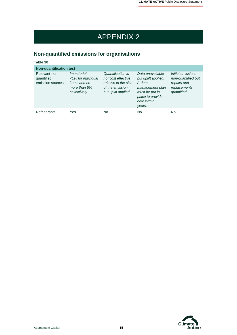# APPENDIX 2

### **Non-quantified emissions for organisations**

| Table 10                                        |                                                                                         |                                                                                                           |                                                                                                                                       |                                                                                      |
|-------------------------------------------------|-----------------------------------------------------------------------------------------|-----------------------------------------------------------------------------------------------------------|---------------------------------------------------------------------------------------------------------------------------------------|--------------------------------------------------------------------------------------|
| <b>Non-quantification test</b>                  |                                                                                         |                                                                                                           |                                                                                                                                       |                                                                                      |
| Relevant-non-<br>quantified<br>emission sources | Immaterial<br><1% for individual<br><i>items and no</i><br>more than 5%<br>collectively | Quantification is<br>not cost effective<br>relative to the size<br>of the emission<br>but uplift applied. | Data unavailable<br>but uplift applied.<br>A data<br>management plan<br>must be put in<br>place to provide<br>data within 5<br>years. | Initial emissions<br>non-quantified but<br>repairs and<br>replacements<br>quantified |
| Refrigerants                                    | Yes                                                                                     | No                                                                                                        | No                                                                                                                                    | No.                                                                                  |

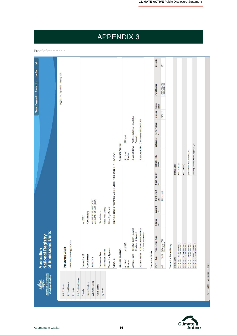#### Quantity Help 154 Change Password Contact Us Log Out Logged in as: Nigel Miller / Industry User 8,333,201,770 -Serial Range Expiry.<br>Date Vintage 2021-22 Australia Voluntary Cancellation Account Holder Commonwealth of Australia Safeguard Kyoto Project  $\ddot{\phantom{1}}$ AU-1068 Account Awaiting Account Holder Approval (95) **Acquiring Account Account Name** Account Holder Approved (97) Account **Number** Retired on behalf of Adamantem Capital's Climate Active emissions for FY2020/21 **NGER Facility** Name Completed (4) **Status Code** Proposed (1) NGER Facility<br>ID  $\frac{\text{ERF Project}}{\text{ERF}101634}$ 08/10/2021 16:59:05 (AEDT)<br>08/10/2021 05:59:05 (GMT) Current<br>CP Noss, Freia Wendy Miller, Nigel Robert Cancellation (4) Completed (4) **AU19932** Original<br>CP Climate Friendly Financial<br>Solutions Ply Limited Climate Friendly Financial<br>Solutions Pty Limited **National Registry<br>of Emissions Units** Party, Type Transaction Type KACCU Voluntary ACCU Transaction details appear below. 08/10/2021 16:59:05 (AEDT)<br>08/10/2021 05:59:05 (GMT) 08/10/2021 16:59:05 (AEDT)<br>08/10/2021 05:59:05 (GMT) 06/10/2021 14:49:58 (AEDT)<br>06/10/2021 03:49:58 (GMT) AU-2980 08/10/2021 16:59:05 (AEDT)<br>08/10/2021 05:59:05 (GMT) **Transaction Status History Transaction Details** Australian **Transaction Approver Transferring Account Transaction Initiator Transaction Blocks Transaction Type** Account Holder **Account Name Transaction ID Current Status Status Date Status Date** Comment Account **Number AU Australian Government**<br>Clean Energy Regulator Unit Position Summary 導 **CER Notifications Account Holders** Transaction Log ANREU Home **Public Reports** My Profile Accounts Projects

# APPENDIX 3

Proof of retirements

Accessibility Disclaimer Privacy